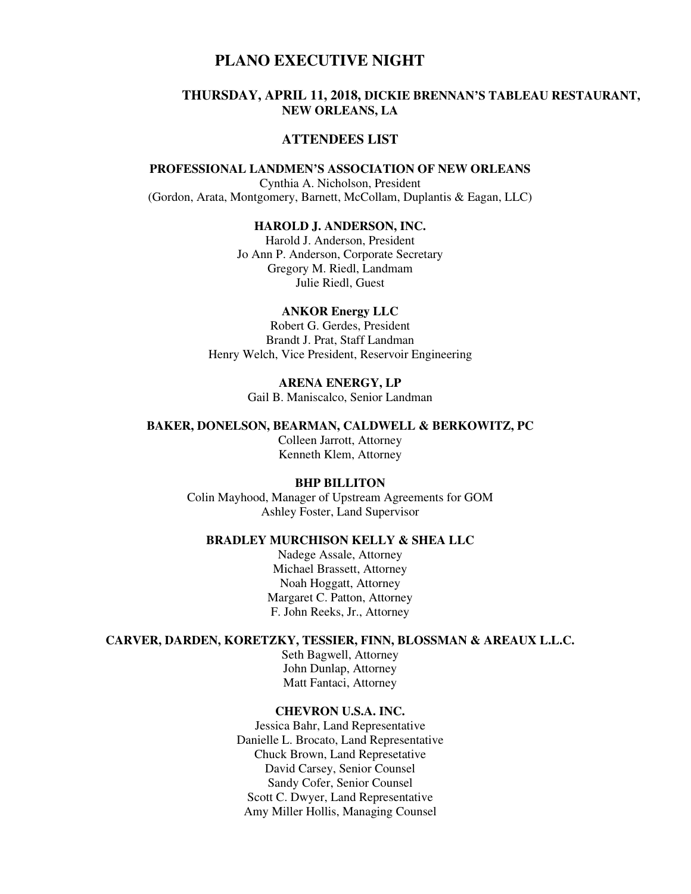# **PLANO EXECUTIVE NIGHT**

# **THURSDAY, APRIL 11, 2018, DICKIE BRENNAN'S TABLEAU RESTAURANT, NEW ORLEANS, LA**

# **ATTENDEES LIST**

# **PROFESSIONAL LANDMEN'S ASSOCIATION OF NEW ORLEANS**

Cynthia A. Nicholson, President (Gordon, Arata, Montgomery, Barnett, McCollam, Duplantis & Eagan, LLC)

### **HAROLD J. ANDERSON, INC.**

Harold J. Anderson, President Jo Ann P. Anderson, Corporate Secretary Gregory M. Riedl, Landmam Julie Riedl, Guest

### **ANKOR Energy LLC**

Robert G. Gerdes, President Brandt J. Prat, Staff Landman Henry Welch, Vice President, Reservoir Engineering

# **ARENA ENERGY, LP**

Gail B. Maniscalco, Senior Landman

#### **BAKER, DONELSON, BEARMAN, CALDWELL & BERKOWITZ, PC**

Colleen Jarrott, Attorney Kenneth Klem, Attorney

### **BHP BILLITON**

Colin Mayhood, Manager of Upstream Agreements for GOM Ashley Foster, Land Supervisor

# **BRADLEY MURCHISON KELLY & SHEA LLC**

Nadege Assale, Attorney Michael Brassett, Attorney Noah Hoggatt, Attorney Margaret C. Patton, Attorney F. John Reeks, Jr., Attorney

# **CARVER, DARDEN, KORETZKY, TESSIER, FINN, BLOSSMAN & AREAUX L.L.C.**

Seth Bagwell, Attorney John Dunlap, Attorney Matt Fantaci, Attorney

### **CHEVRON U.S.A. INC.**

Jessica Bahr, Land Representative Danielle L. Brocato, Land Representative Chuck Brown, Land Represetative David Carsey, Senior Counsel Sandy Cofer, Senior Counsel Scott C. Dwyer, Land Representative Amy Miller Hollis, Managing Counsel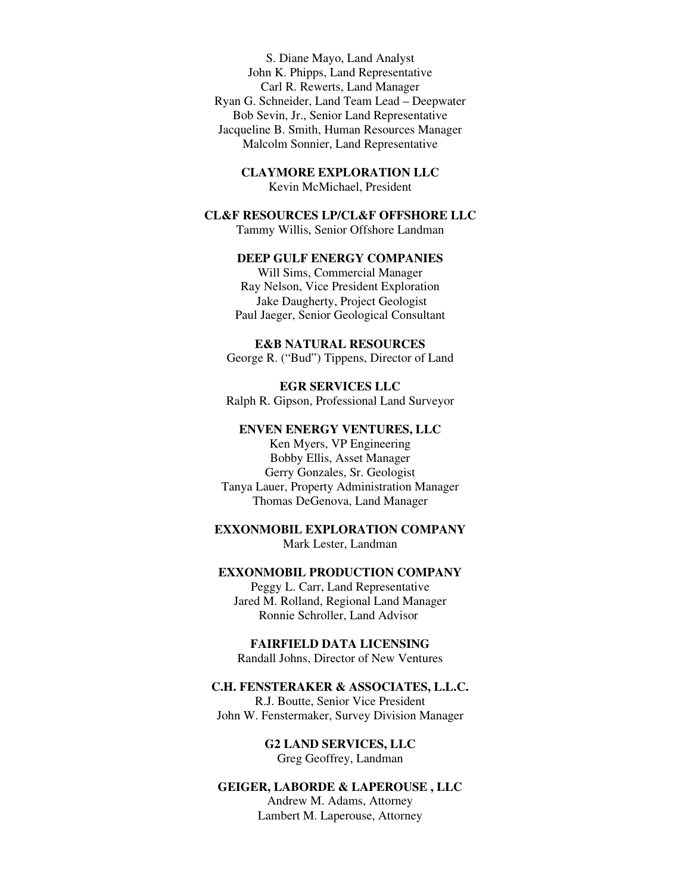S. Diane Mayo, Land Analyst John K. Phipps, Land Representative Carl R. Rewerts, Land Manager Ryan G. Schneider, Land Team Lead – Deepwater Bob Sevin, Jr., Senior Land Representative Jacqueline B. Smith, Human Resources Manager Malcolm Sonnier, Land Representative

**CLAYMORE EXPLORATION LLC** 

Kevin McMichael, President

### **CL&F RESOURCES LP/CL&F OFFSHORE LLC**

Tammy Willis, Senior Offshore Landman

# **DEEP GULF ENERGY COMPANIES**

Will Sims, Commercial Manager Ray Nelson, Vice President Exploration Jake Daugherty, Project Geologist Paul Jaeger, Senior Geological Consultant

**E&B NATURAL RESOURCES** 

George R. ("Bud") Tippens, Director of Land

**EGR SERVICES LLC**  Ralph R. Gipson, Professional Land Surveyor

# **ENVEN ENERGY VENTURES, LLC**

Ken Myers, VP Engineering Bobby Ellis, Asset Manager Gerry Gonzales, Sr. Geologist Tanya Lauer, Property Administration Manager Thomas DeGenova, Land Manager

**EXXONMOBIL EXPLORATION COMPANY**  Mark Lester, Landman

### **EXXONMOBIL PRODUCTION COMPANY**

Peggy L. Carr, Land Representative Jared M. Rolland, Regional Land Manager Ronnie Schroller, Land Advisor

**FAIRFIELD DATA LICENSING**  Randall Johns, Director of New Ventures

### **C.H. FENSTERAKER & ASSOCIATES, L.L.C.**

R.J. Boutte, Senior Vice President John W. Fenstermaker, Survey Division Manager

> **G2 LAND SERVICES, LLC**  Greg Geoffrey, Landman

# **GEIGER, LABORDE & LAPEROUSE , LLC**

Andrew M. Adams, Attorney Lambert M. Laperouse, Attorney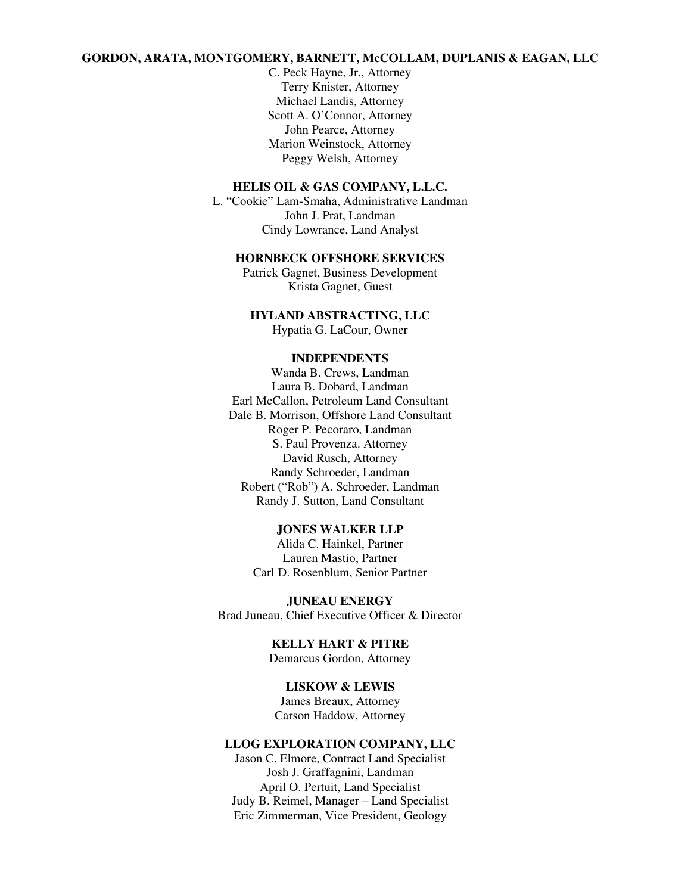# **GORDON, ARATA, MONTGOMERY, BARNETT, McCOLLAM, DUPLANIS & EAGAN, LLC**

C. Peck Hayne, Jr., Attorney Terry Knister, Attorney Michael Landis, Attorney Scott A. O'Connor, Attorney John Pearce, Attorney Marion Weinstock, Attorney Peggy Welsh, Attorney

### **HELIS OIL & GAS COMPANY, L.L.C.**

L. "Cookie" Lam-Smaha, Administrative Landman John J. Prat, Landman Cindy Lowrance, Land Analyst

### **HORNBECK OFFSHORE SERVICES**

Patrick Gagnet, Business Development Krista Gagnet, Guest

# **HYLAND ABSTRACTING, LLC**

Hypatia G. LaCour, Owner

#### **INDEPENDENTS**

Wanda B. Crews, Landman Laura B. Dobard, Landman Earl McCallon, Petroleum Land Consultant Dale B. Morrison, Offshore Land Consultant Roger P. Pecoraro, Landman S. Paul Provenza. Attorney David Rusch, Attorney Randy Schroeder, Landman Robert ("Rob") A. Schroeder, Landman Randy J. Sutton, Land Consultant

### **JONES WALKER LLP**

Alida C. Hainkel, Partner Lauren Mastio, Partner Carl D. Rosenblum, Senior Partner

**JUNEAU ENERGY**  Brad Juneau, Chief Executive Officer & Director

> **KELLY HART & PITRE**  Demarcus Gordon, Attorney

# **LISKOW & LEWIS**

James Breaux, Attorney Carson Haddow, Attorney

# **LLOG EXPLORATION COMPANY, LLC**

Jason C. Elmore, Contract Land Specialist Josh J. Graffagnini, Landman April O. Pertuit, Land Specialist Judy B. Reimel, Manager – Land Specialist Eric Zimmerman, Vice President, Geology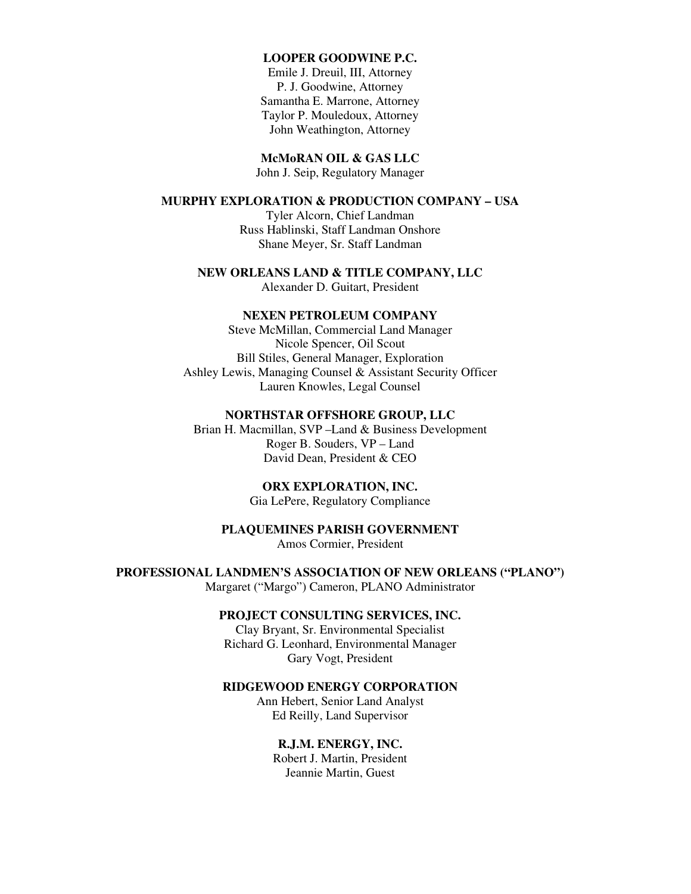## **LOOPER GOODWINE P.C.**

Emile J. Dreuil, III, Attorney P. J. Goodwine, Attorney Samantha E. Marrone, Attorney Taylor P. Mouledoux, Attorney John Weathington, Attorney

**McMoRAN OIL & GAS LLC**  John J. Seip, Regulatory Manager

### **MURPHY EXPLORATION & PRODUCTION COMPANY – USA**

Tyler Alcorn, Chief Landman Russ Hablinski, Staff Landman Onshore Shane Meyer, Sr. Staff Landman

# **NEW ORLEANS LAND & TITLE COMPANY, LLC**

Alexander D. Guitart, President

# **NEXEN PETROLEUM COMPANY**

Steve McMillan, Commercial Land Manager Nicole Spencer, Oil Scout Bill Stiles, General Manager, Exploration Ashley Lewis, Managing Counsel & Assistant Security Officer Lauren Knowles, Legal Counsel

# **NORTHSTAR OFFSHORE GROUP, LLC**

Brian H. Macmillan, SVP –Land & Business Development Roger B. Souders, VP – Land David Dean, President & CEO

# **ORX EXPLORATION, INC.**

Gia LePere, Regulatory Compliance

# **PLAQUEMINES PARISH GOVERNMENT**  Amos Cormier, President

**PROFESSIONAL LANDMEN'S ASSOCIATION OF NEW ORLEANS ("PLANO")** 

Margaret ("Margo") Cameron, PLANO Administrator

### **PROJECT CONSULTING SERVICES, INC.**

Clay Bryant, Sr. Environmental Specialist Richard G. Leonhard, Environmental Manager Gary Vogt, President

### **RIDGEWOOD ENERGY CORPORATION**

Ann Hebert, Senior Land Analyst Ed Reilly, Land Supervisor

### **R.J.M. ENERGY, INC.**

Robert J. Martin, President Jeannie Martin, Guest